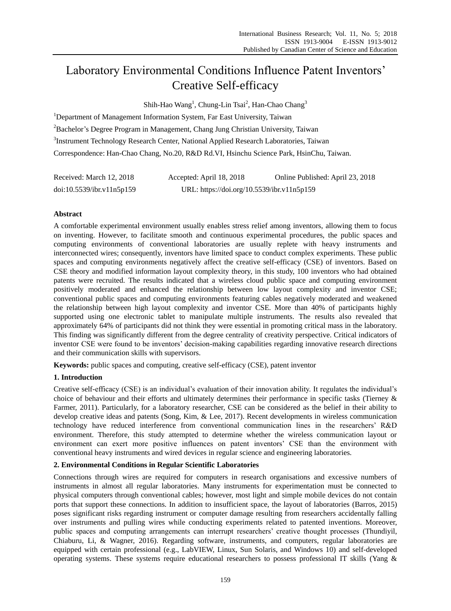# Laboratory Environmental Conditions Influence Patent Inventors' Creative Self-efficacy

Shih-Hao Wang<sup>1</sup>, Chung-Lin Tsai<sup>2</sup>, Han-Chao Chang<sup>3</sup>

<sup>1</sup>Department of Management Information System, Far East University, Taiwan <sup>2</sup>Bachelor's Degree Program in Management, Chang Jung Christian University, Taiwan <sup>3</sup>Instrument Technology Research Center, National Applied Research Laboratories, Taiwan Correspondence: Han-Chao Chang, No.20, R&D Rd.VI, Hsinchu Science Park, HsinChu, Taiwan.

| Received: March 12, 2018  | Accepted: April 18, 2018                   | Online Published: April 23, 2018 |
|---------------------------|--------------------------------------------|----------------------------------|
| doi:10.5539/ibr.v11n5p159 | URL: https://doi.org/10.5539/ibr.v11n5p159 |                                  |

# **Abstract**

A comfortable experimental environment usually enables stress relief among inventors, allowing them to focus on inventing. However, to facilitate smooth and continuous experimental procedures, the public spaces and computing environments of conventional laboratories are usually replete with heavy instruments and interconnected wires; consequently, inventors have limited space to conduct complex experiments. These public spaces and computing environments negatively affect the creative self-efficacy (CSE) of inventors. Based on CSE theory and modified information layout complexity theory, in this study, 100 inventors who had obtained patents were recruited. The results indicated that a wireless cloud public space and computing environment positively moderated and enhanced the relationship between low layout complexity and inventor CSE; conventional public spaces and computing environments featuring cables negatively moderated and weakened the relationship between high layout complexity and inventor CSE. More than 40% of participants highly supported using one electronic tablet to manipulate multiple instruments. The results also revealed that approximately 64% of participants did not think they were essential in promoting critical mass in the laboratory. This finding was significantly different from the degree centrality of creativity perspective. Critical indicators of inventor CSE were found to be inventors' decision-making capabilities regarding innovative research directions and their communication skills with supervisors.

**Keywords:** public spaces and computing, creative self-efficacy (CSE), patent inventor

## **1. Introduction**

Creative self-efficacy (CSE) is an individual's evaluation of their innovation ability. It regulates the individual's choice of behaviour and their efforts and ultimately determines their performance in specific tasks [\(Tierney &](#page-7-0)  [Farmer, 2011\)](#page-7-0). Particularly, for a laboratory researcher, CSE can be considered as the belief in their ability to develop creative ideas and patents [\(Song, Kim, & Lee, 2017\)](#page-7-1). Recent developments in wireless communication technology have reduced interference from conventional communication lines in the researchers' R&D environment. Therefore, this study attempted to determine whether the wireless communication layout or environment can exert more positive influences on patent inventors' CSE than the environment with conventional heavy instruments and wired devices in regular science and engineering laboratories.

## **2. Environmental Conditions in Regular Scientific Laboratories**

Connections through wires are required for computers in research organisations and excessive numbers of instruments in almost all regular laboratories. Many instruments for experimentation must be connected to physical computers through conventional cables; however, most light and simple mobile devices do not contain ports that support these connections. In addition to insufficient space, the layout of laboratories [\(Barros, 2015\)](#page-6-0) poses significant risks regarding instrument or computer damage resulting from researchers accidentally falling over instruments and pulling wires while conducting experiments related to patented inventions. Moreover, public spaces and computing arrangements can interrupt researchers' creative thought processes [\(Thundiyil,](#page-7-2)  [Chiaburu, Li, & Wagner, 2016\)](#page-7-2). Regarding software, instruments, and computers, regular laboratories are equipped with certain professional (e.g., LabVIEW, Linux, Sun Solaris, and Windows 10) and self-developed operating systems. These systems require educational researchers to possess professional IT skills [\(Yang &](#page-7-3)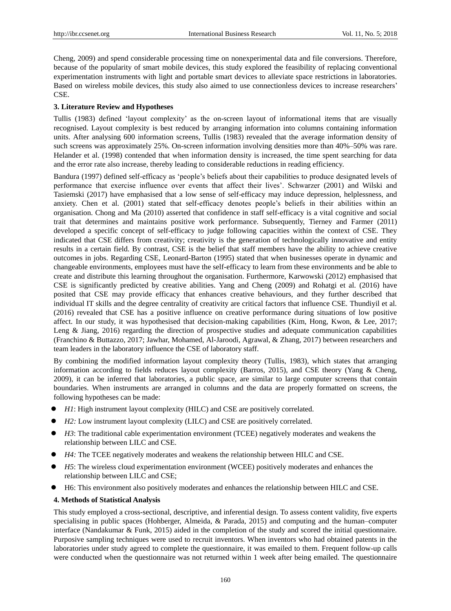[Cheng, 2009\)](#page-7-3) and spend considerable processing time on nonexperimental data and file conversions. Therefore, because of the popularity of smart mobile devices, this study explored the feasibility of replacing conventional experimentation instruments with light and portable smart devices to alleviate space restrictions in laboratories. Based on wireless mobile devices, this study also aimed to use connectionless devices to increase researchers' CSE.

### **3. Literature Review and Hypotheses**

Tullis [\(1983\)](#page-7-4) defined 'layout complexity' as the on-screen layout of informational items that are visually recognised. Layout complexity is best reduced by arranging information into columns containing information units. After analysing 600 information screens, Tullis [\(1983\)](#page-7-4) revealed that the average information density of such screens was approximately 25%. On-screen information involving densities more than 40%–50% was rare. Helander et al. [\(1998\)](#page-6-1) contended that when information density is increased, the time spent searching for data and the error rate also increase, thereby leading to considerable reductions in reading efficiency.

Bandura [\(1997\)](#page-6-2) defined self-efficacy as 'people's beliefs about their capabilities to produce designated levels of performance that exercise influence over events that affect their lives'. Schwarzer [\(2001\)](#page-7-5) and Wilski and Tasiemski [\(2017\)](#page-7-6) have emphasised that a low sense of self-efficacy may induce depression, helplessness, and anxiety. Chen et al. [\(2001\)](#page-6-3) stated that self-efficacy denotes people's beliefs in their abilities within an organisation. Chong and Ma [\(2010\)](#page-6-4) asserted that confidence in staff self-efficacy is a vital cognitive and social trait that determines and maintains positive work performance. Subsequently, Tierney and Farmer [\(2011\)](#page-7-0) developed a specific concept of self-efficacy to judge following capacities within the context of CSE. They indicated that CSE differs from creativity; creativity is the generation of technologically innovative and entity results in a certain field. By contrast, CSE is the belief that staff members have the ability to achieve creative outcomes in jobs. Regarding CSE, Leonard-Barton [\(1995\)](#page-7-7) stated that when businesses operate in dynamic and changeable environments, employees must have the self-efficacy to learn from these environments and be able to create and distribute this learning throughout the organisation. Furthermore, Karwowski [\(2012\)](#page-7-8) emphasised that CSE is significantly predicted by creative abilities. Yang and Cheng [\(2009\)](#page-7-3) and Rohatgi et al. [\(2016\)](#page-7-9) have posited that CSE may provide efficacy that enhances creative behaviours, and they further described that individual IT skills and the degree centrality of creativity are critical factors that influence CSE. Thundiyil et al. [\(2016\)](#page-7-2) revealed that CSE has a positive influence on creative performance during situations of low positive affect. In our study, it was hypothesised that decision-making capabilities [\(Kim, Hong, Kwon, & Lee, 2017;](#page-7-10) [Leng & Jiang, 2016\)](#page-7-11) regarding the direction of prospective studies and adequate communication capabilities [\(Franchino & Buttazzo, 2017;](#page-6-5) [Jawhar, Mohamed, Al-Jaroodi, Agrawal, & Zhang, 2017\)](#page-7-12) between researchers and team leaders in the laboratory influence the CSE of laboratory staff.

By combining the modified information layout complexity theory [\(Tullis, 1983\)](#page-7-4), which states that arranging information according to fields reduces layout complexity [\(Barros, 2015\)](#page-6-0), and CSE theory [\(Yang & Cheng,](#page-7-3)  [2009\)](#page-7-3), it can be inferred that laboratories, a public space, are similar to large computer screens that contain boundaries. When instruments are arranged in columns and the data are properly formatted on screens, the following hypotheses can be made:

- *H1*: High instrument layout complexity (HILC) and CSE are positively correlated.
- *H2*: Low instrument layout complexity (LILC) and CSE are positively correlated.
- *H3*: The traditional cable experimentation environment (TCEE) negatively moderates and weakens the relationship between LILC and CSE.
- *H4*: The TCEE negatively moderates and weakens the relationship between HILC and CSE.
- *H5*: The wireless cloud experimentation environment (WCEE) positively moderates and enhances the relationship between LILC and CSE;
- H6: This environment also positively moderates and enhances the relationship between HILC and CSE.

#### **4. Methods of Statistical Analysis**

This study employed a cross-sectional, descriptive, and inferential design. To assess content validity, five experts specialising in public spaces [\(Hohberger, Almeida, & Parada, 2015\)](#page-6-6) and computing and the human–computer interface [\(Nandakumar & Funk, 2015\)](#page-7-13) aided in the completion of the study and scored the initial questionnaire. Purposive sampling techniques were used to recruit inventors. When inventors who had obtained patents in the laboratories under study agreed to complete the questionnaire, it was emailed to them. Frequent follow-up calls were conducted when the questionnaire was not returned within 1 week after being emailed. The questionnaire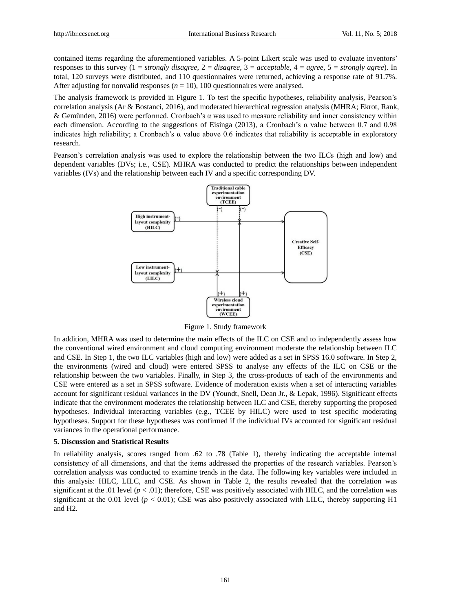contained items regarding the aforementioned variables. A 5-point Likert scale was used to evaluate inventors' responses to this survey (1 = *strongly disagree*, 2 = *disagree*, 3 = *acceptable*, 4 = *agree*, 5 = *strongly agree*). In total, 120 surveys were distributed, and 110 questionnaires were returned, achieving a response rate of 91.7%. After adjusting for nonvalid responses  $(n = 10)$ , 100 questionnaires were analysed.

The analysis framework is provided in Figure 1. To test the specific hypotheses, reliability analysis, Pearson's correlation analysis [\(Ar & Bostanci, 2016\)](#page-6-7), and moderated hierarchical regression analysis (MHRA; [Ekrot, Rank,](#page-6-8)  [& Gemünden, 2016\)](#page-6-8) were performed. Cronbach's α was used to measure reliability and inner consistency within each dimension. According to the suggestions of Eisinga [\(2013\)](#page-6-9), a Cronbach's  $\alpha$  value between 0.7 and 0.98 indicates high reliability; a Cronbach's  $\alpha$  value above 0.6 indicates that reliability is acceptable in exploratory research.

Pearson's correlation analysis was used to explore the relationship between the two ILCs (high and low) and dependent variables (DVs; i.e., CSE). MHRA was conducted to predict the relationships between independent variables (IVs) and the relationship between each IV and a specific corresponding DV.



Figure 1. Study framework

In addition, MHRA was used to determine the main effects of the ILC on CSE and to independently assess how the conventional wired environment and cloud computing environment moderate the relationship between ILC and CSE. In Step 1, the two ILC variables (high and low) were added as a set in SPSS 16.0 software. In Step 2, the environments (wired and cloud) were entered SPSS to analyse any effects of the ILC on CSE or the relationship between the two variables. Finally, in Step 3, the cross-products of each of the environments and CSE were entered as a set in SPSS software. Evidence of moderation exists when a set of interacting variables account for significant residual variances in the DV [\(Youndt, Snell, Dean Jr., & Lepak, 1996\)](#page-7-14). Significant effects indicate that the environment moderates the relationship between ILC and CSE, thereby supporting the proposed hypotheses. Individual interacting variables (e.g., TCEE by HILC) were used to test specific moderating hypotheses. Support for these hypotheses was confirmed if the individual IVs accounted for significant residual variances in the operational performance.

#### **5. Discussion and Statistical Results**

In reliability analysis, scores ranged from .62 to .78 (Table 1), thereby indicating the acceptable internal consistency of all dimensions, and that the items addressed the properties of the research variables. Pearson's correlation analysis was conducted to examine trends in the data. The following key variables were included in this analysis: HILC, LILC, and CSE. As shown in Table 2, the results revealed that the correlation was significant at the .01 level  $(p < .01)$ ; therefore, CSE was positively associated with HILC, and the correlation was significant at the 0.01 level ( $p < 0.01$ ); CSE was also positively associated with LILC, thereby supporting H1 and H2.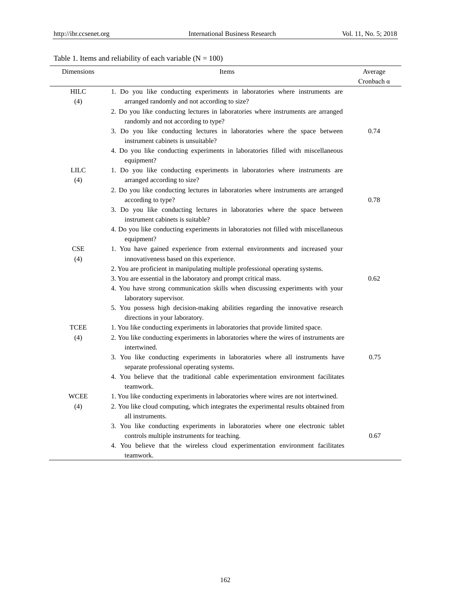# Table 1. Items and reliability of each variable  $(N = 100)$

| Dimensions         | Items                                                                                                                     | Average           |
|--------------------|---------------------------------------------------------------------------------------------------------------------------|-------------------|
|                    |                                                                                                                           | Cronbach $\alpha$ |
| <b>HILC</b>        | 1. Do you like conducting experiments in laboratories where instruments are                                               |                   |
| (4)                | arranged randomly and not according to size?                                                                              |                   |
|                    | 2. Do you like conducting lectures in laboratories where instruments are arranged                                         |                   |
|                    | randomly and not according to type?                                                                                       |                   |
|                    | 3. Do you like conducting lectures in laboratories where the space between<br>instrument cabinets is unsuitable?          | 0.74              |
|                    | 4. Do you like conducting experiments in laboratories filled with miscellaneous<br>equipment?                             |                   |
| <b>LILC</b><br>(4) | 1. Do you like conducting experiments in laboratories where instruments are<br>arranged according to size?                |                   |
|                    | 2. Do you like conducting lectures in laboratories where instruments are arranged<br>according to type?                   | 0.78              |
|                    | 3. Do you like conducting lectures in laboratories where the space between<br>instrument cabinets is suitable?            |                   |
|                    | 4. Do you like conducting experiments in laboratories not filled with miscellaneous<br>equipment?                         |                   |
| <b>CSE</b><br>(4)  | 1. You have gained experience from external environments and increased your<br>innovativeness based on this experience.   |                   |
|                    | 2. You are proficient in manipulating multiple professional operating systems.                                            |                   |
|                    | 3. You are essential in the laboratory and prompt critical mass.                                                          | 0.62              |
|                    | 4. You have strong communication skills when discussing experiments with your<br>laboratory supervisor.                   |                   |
|                    | 5. You possess high decision-making abilities regarding the innovative research<br>directions in your laboratory.         |                   |
| <b>TCEE</b>        | 1. You like conducting experiments in laboratories that provide limited space.                                            |                   |
| (4)                | 2. You like conducting experiments in laboratories where the wires of instruments are<br>intertwined.                     |                   |
|                    | 3. You like conducting experiments in laboratories where all instruments have<br>separate professional operating systems. | 0.75              |
|                    | 4. You believe that the traditional cable experimentation environment facilitates<br>teamwork.                            |                   |
| WCEE               | 1. You like conducting experiments in laboratories where wires are not intertwined.                                       |                   |
| (4)                | 2. You like cloud computing, which integrates the experimental results obtained from<br>all instruments.                  |                   |
|                    | 3. You like conducting experiments in laboratories where one electronic tablet                                            |                   |
|                    | controls multiple instruments for teaching.                                                                               | 0.67              |
|                    | 4. You believe that the wireless cloud experimentation environment facilitates<br>teamwork.                               |                   |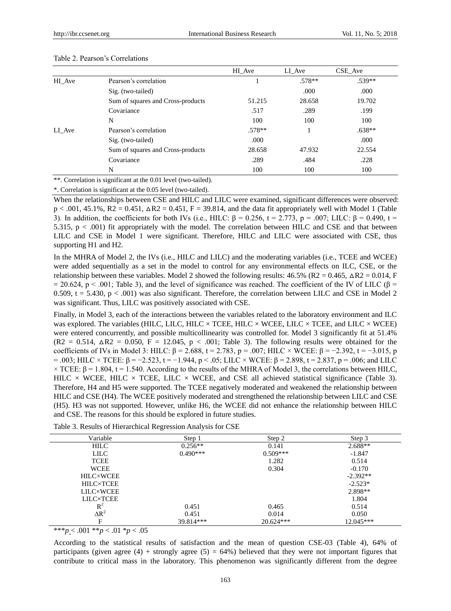|        |                                   | HI Ave | LI Ave   | CSE Ave  |
|--------|-----------------------------------|--------|----------|----------|
| HI Ave | Pearson's correlation             |        | $.578**$ | .539**   |
|        | Sig. (two-tailed)                 |        | .000     | .000     |
|        | Sum of squares and Cross-products | 51.215 | 28.658   | 19.702   |
|        | Covariance                        | .517   | .289     | .199     |
|        | N                                 | 100    | 100      | 100      |
| LI Ave | Pearson's correlation             | .578** |          | $.638**$ |
|        | Sig. (two-tailed)                 | .000   |          | .000     |
|        | Sum of squares and Cross-products | 28.658 | 47.932   | 22.554   |
|        | Covariance                        | .289   | .484     | .228     |
|        | N                                 | 100    | 100      | 100      |
|        |                                   |        |          |          |

#### Table 2. Pearson's Correlations

\*\*. Correlation is significant at the 0.01 level (two-tailed).

\*. Correlation is significant at the 0.05 level (two-tailed).

When the relationships between CSE and HILC and LILC were examined, significant differences were observed:  $p < .001, 45.1\%$ ,  $R2 = 0.451$ ,  $\Delta R2 = 0.451$ ,  $F = 39.814$ , and the data fit appropriately well with Model 1 (Table 3). In addition, the coefficients for both IVs (i.e., HILC: β = 0.256, t = 2.773, p = .007; LILC: β = 0.490, t = 5.315,  $p < .001$ ) fit appropriately with the model. The correlation between HILC and CSE and that between LILC and CSE in Model 1 were significant. Therefore, HILC and LILC were associated with CSE, thus supporting H1 and H2.

In the MHRA of Model 2, the IVs (i.e., HILC and LILC) and the moderating variables (i.e., TCEE and WCEE) were added sequentially as a set in the model to control for any environmental effects on ILC, CSE, or the relationship between these variables. Model 2 showed the following results:  $46.5\%$  (R2 = 0.465,  $\Delta$ R2 = 0.014, F  $= 20.624$ , p < .001; Table 3), and the level of significance was reached. The coefficient of the IV of LILC ( $\beta$  = 0.509,  $t = 5.430$ ,  $p < .001$ ) was also significant. Therefore, the correlation between LILC and CSE in Model 2 was significant. Thus, LILC was positively associated with CSE.

Finally, in Model 3, each of the interactions between the variables related to the laboratory environment and ILC was explored. The variables (HILC, LILC, HILC  $\times$  TCEE, HILC  $\times$  WCEE, LILC  $\times$  TCEE, and LILC  $\times$  WCEE) were entered concurrently, and possible multicollinearity was controlled for. Model 3 significantly fit at 51.4%  $(R2 = 0.514, \Delta R2 = 0.050, F = 12.045, p < .001$ ; Table 3). The following results were obtained for the coefficients of IVs in Model 3: HILC: β = 2.688, t = 2.783, p = .007; HILC × WCEE: β = −2.392, t = −3.015, p  $=$  .003; HILC × TCEE: β = −2.523, t = −1.944, p < .05; LILC × WCEE: β = 2.898, t = 2.837, p = .006; and LILC  $\times$  TCEE: β = 1.804, t = 1.540. According to the results of the MHRA of Model 3, the correlations between HILC, HILC  $\times$  WCEE, HILC  $\times$  TCEE, LILC  $\times$  WCEE, and CSE all achieved statistical significance (Table 3). Therefore, H4 and H5 were supported. The TCEE negatively moderated and weakened the relationship between HILC and CSE (H4). The WCEE positively moderated and strengthened the relationship between LILC and CSE (H5). H3 was not supported. However, unlike H6, the WCEE did not enhance the relationship between HILC and CSE. The reasons for this should be explored in future studies.

| Variable         | Step 1     | Step 2      | Step 3     |
|------------------|------------|-------------|------------|
| <b>HILC</b>      | $0.256**$  | 0.141       | $2.688**$  |
| <b>LILC</b>      | $0.490***$ | $0.509***$  | $-1.847$   |
| <b>TCEE</b>      |            | 1.282       | 0.514      |
| <b>WCEE</b>      |            | 0.304       | $-0.170$   |
| <b>HILC×WCEE</b> |            |             | $-2.392**$ |
| <b>HILC×TCEE</b> |            |             | $-2.523*$  |
| <b>LILC×WCEE</b> |            |             | 2.898**    |
| <b>LILC×TCEE</b> |            |             | 1.804      |
| $R^2$            | 0.451      | 0.465       | 0.514      |
| $\Delta R^2$     | 0.451      | 0.014       | 0.050      |
| F                | 39.814***  | $20.624***$ | 12.045***  |

|  |  |  |  | Table 3. Results of Hierarchical Regression Analysis for CSE |  |  |
|--|--|--|--|--------------------------------------------------------------|--|--|
|  |  |  |  |                                                              |  |  |

\*\*\**p* < .001 \*\**p* < .01 \**p* < .05

According to the statistical results of satisfaction and the mean of question CSE-03 (Table 4), 64% of participants (given agree (4) + strongly agree (5) = 64%) believed that they were not important figures that contribute to critical mass in the laboratory. This phenomenon was significantly different from the degree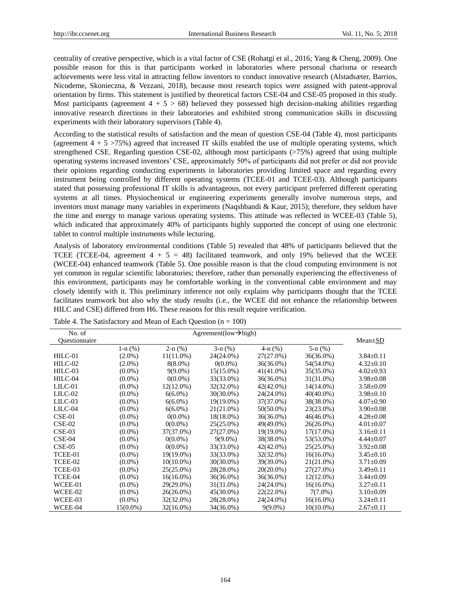centrality of creative perspective, which is a vital factor of CSE [\(Rohatgi et al., 2016;](#page-7-9) [Yang & Cheng, 2009\)](#page-7-3). One possible reason for this is that participants worked in laboratories where personal charisma or research achievements were less vital in attracting fellow inventors to conduct innovative research [\(Alstadsæter, Barrios,](#page-6-10)  [Nicodeme, Skonieczna, & Vezzani, 2018\)](#page-6-10), because most research topics were assigned with patent-approval orientation by firms. This statement is justified by theoretical factors CSE-04 and CSE-05 proposed in this study. Most participants (agreement  $4 + 5 > 68$ ) believed they possessed high decision-making abilities regarding innovative research directions in their laboratories and exhibited strong communication skills in discussing experiments with their laboratory supervisors (Table 4).

According to the statistical results of satisfaction and the mean of question CSE-04 (Table 4), most participants (agreement  $4 + 5$  >75%) agreed that increased IT skills enabled the use of multiple operating systems, which strengthened CSE. Regarding question CSE-02, although most participants (>75%) agreed that using multiple operating systems increased inventors' CSE, approximately 50% of participants did not prefer or did not provide their opinions regarding conducting experiments in laboratories providing limited space and regarding every instrument being controlled by different operating systems (TCEE-01 and TCEE-03). Although participants stated that possessing professional IT skills is advantageous, not every participant preferred different operating systems at all times. Physiochemical or engineering experiments generally involve numerous steps, and inventors must manage many variables in experiments [\(Naqshbandi & Kaur, 2015\)](#page-7-15); therefore, they seldom have the time and energy to manage various operating systems. This attitude was reflected in WCEE-03 (Table 5), which indicated that approximately 40% of participants highly supported the concept of using one electronic tablet to control multiple instruments while lecturing.

Analysis of laboratory environmental conditions (Table 5) revealed that 48% of participants believed that the TCEE (TCEE-04, agreement  $4 + 5 = 48$ ) facilitated teamwork, and only 19% believed that the WCEE (WCEE-04) enhanced teamwork (Table 5). One possible reason is that the cloud computing environment is not yet common in regular scientific laboratories; therefore, rather than personally experiencing the effectiveness of this environment, participants may be comfortable working in the conventional cable environment and may closely identify with it. This preliminary inference not only explains why participants thought that the TCEE facilitates teamwork but also why the study results (i.e., the WCEE did not enhance the relationship between HILC and CSE) differed from H6. These reasons for this result require verification.

| No. of        | Agreement(low $\rightarrow$ high) |              |              |               |              |                 |
|---------------|-----------------------------------|--------------|--------------|---------------|--------------|-----------------|
| Questionnaire |                                   |              |              |               |              | $Mean \pm SD$   |
|               | $1-n$ $%$ )                       | $2-n$ (%)    | $3-n$ (%)    | $4-n$ $(\% )$ | $5-n$ $%$ )  |                 |
| $HILC-01$     | $(2.0\%)$                         | $11(11.0\%)$ | 24(24.0%)    | $27(27.0\%)$  | 36(36.0%)    | $3.84 \pm 0.11$ |
| $HILC-02$     | $(2.0\%)$                         | $8(8.0\%)$   | $0(0.0\%)$   | $36(36.0\%)$  | 54(54.0%)    | $4.32 \pm 0.10$ |
| HILC-03       | $(0.0\%)$                         | $9(9.0\%)$   | $15(15.0\%)$ | 41(41.0%)     | 35(35.0%)    | $4.02 \pm 0.93$ |
| HILC-04       | $(0.0\%)$                         | $0(0.0\%)$   | 33(33.0%)    | $36(36.0\%)$  | $31(31.0\%)$ | $3.98 \pm 0.08$ |
| $LILC-01$     | $(0.0\%)$                         | $12(12.0\%)$ | 32(32.0%)    | $42(42.0\%)$  | 14(14.0%)    | $3.58 \pm 0.09$ |
| LILC-02       | $(0.0\%)$                         | $6(6.0\%)$   | 30(30.0%)    | 24(24.0%)     | $40(40.0\%)$ | $3.98 \pm 0.10$ |
| $LILC-03$     | $(0.0\%)$                         | $6(6.0\%)$   | 19(19.0%)    | 37(37.0%)     | 38(38.0%)    | $4.07 + 0.90$   |
| LILC-04       | $(0.0\%)$                         | $6(6.0\%)$   | 21(21.0%)    | $50(50.0\%)$  | 23(23.0%)    | $3.90 \pm 0.08$ |
| $CSE-01$      | $(0.0\%)$                         | $0(0.0\%)$   | 18(18.0%)    | $36(36.0\%)$  | $46(46.0\%)$ | $4.28 \pm 0.08$ |
| $CSE-02$      | $(0.0\%)$                         | $0(0.0\%)$   | 25(25.0%)    | 49(49.0%)     | $26(26.0\%)$ | $4.01 \pm 0.07$ |
| $CSE-03$      | $(0.0\%)$                         | 37(37.0%)    | 27(27.0%)    | $19(19.0\%)$  | $17(17.0\%)$ | $3.16 \pm 0.11$ |
| $CSE-04$      | $(0.0\%)$                         | $0(0.0\%)$   | $9(9.0\%)$   | 38(38.0%)     | 53(53.0%)    | $4.44 \pm 0.07$ |
| $CSE-05$      | $(0.0\%)$                         | $0(0.0\%)$   | 33(33.0%)    | 42(42.0%)     | $25(25.0\%)$ | $3.92 \pm 0.08$ |
| TCEE-01       | $(0.0\%)$                         | 19(19.0%)    | 33(33.0%)    | 32(32.0%)     | $16(16.0\%)$ | $3.45 \pm 0.10$ |
| TCEE-02       | $(0.0\%)$                         | $10(10.0\%)$ | $30(30.0\%)$ | 39(39.0%)     | 21(21.0%)    | $3.71 \pm 0.09$ |
| TCEE-03       | $(0.0\%)$                         | $25(25.0\%)$ | 28(28.0%)    | $20(20.0\%)$  | $27(27.0\%)$ | $3.49 \pm 0.11$ |
| TCEE-04       | $(0.0\%)$                         | $16(16.0\%)$ | 36(36.0%)    | $36(36.0\%)$  | $12(12.0\%)$ | $3.44 \pm 0.09$ |
| WCEE-01       | $(0.0\%)$                         | 29(29.0%)    | 31(31.0%)    | 24(24.0%)     | $16(16.0\%)$ | $3.27 \pm 0.11$ |
| WCEE-02       | $(0.0\%)$                         | $26(26.0\%)$ | 45(30.0%)    | $22(22.0\%)$  | $7(7.0\%)$   | $3.10 - 0.09$   |
| WCEE-03       | $(0.0\%)$                         | 32(32.0%)    | 28(28.0%)    | 24(24.0%)     | $16(16.0\%)$ | $3.24 \pm 0.11$ |
| WCEE-04       | $15(0.0\%)$                       | 32(16.0%)    | 34(36.0%)    | $9(9.0\%)$    | $10(10.0\%)$ | $2.67 \pm 0.11$ |

Table 4. The Satisfactory and Mean of Each Question  $(n = 100)$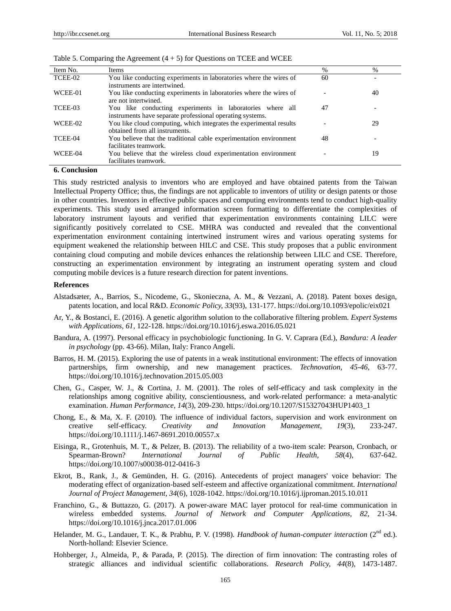| Item No. | Items                                                               | %  | $\%$ |
|----------|---------------------------------------------------------------------|----|------|
| TCEE-02  | You like conducting experiments in laboratories where the wires of  | 60 |      |
|          | instruments are intertwined.                                        |    |      |
| WCEE-01  | You like conducting experiments in laboratories where the wires of  |    | 40   |
|          | are not intertwined.                                                |    |      |
| TCEE-03  | You like conducting experiments in laboratories where all           | 47 |      |
|          | instruments have separate professional operating systems.           |    |      |
| WCEE-02  | You like cloud computing, which integrates the experimental results |    | 29   |
|          | obtained from all instruments.                                      |    |      |
| TCEE-04  | You believe that the traditional cable experimentation environment  | 48 |      |
|          | facilitates teamwork.                                               |    |      |
| WCEE-04  | You believe that the wireless cloud experimentation environment     |    | 19   |
|          | facilitates teamwork.                                               |    |      |

## **6. Conclusion**

This study restricted analysis to inventors who are employed and have obtained patents from the Taiwan Intellectual Property Office; thus, the findings are not applicable to inventors of utility or design patents or those in other countries. Inventors in effective public spaces and computing environments tend to conduct high-quality experiments. This study used arranged information screen formatting to differentiate the complexities of laboratory instrument layouts and verified that experimentation environments containing LILC were significantly positively correlated to CSE. MHRA was conducted and revealed that the conventional experimentation environment containing intertwined instrument wires and various operating systems for equipment weakened the relationship between HILC and CSE. This study proposes that a public environment containing cloud computing and mobile devices enhances the relationship between LILC and CSE. Therefore, constructing an experimentation environment by integrating an instrument operating system and cloud computing mobile devices is a future research direction for patent inventions.

#### **References**

- <span id="page-6-10"></span>Alstadsæter, A., Barrios, S., Nicodeme, G., Skonieczna, A. M., & Vezzani, A. (2018). Patent boxes design, patents location, and local R&D. *Economic Policy, 33*(93), 131-177. https://doi.org/10.1093/epolic/eix021
- <span id="page-6-7"></span>Ar, Y., & Bostanci, E. (2016). A genetic algorithm solution to the collaborative filtering problem. *Expert Systems with Applications, 61*, 122-128. https://doi.org/10.1016/j.eswa.2016.05.021
- <span id="page-6-2"></span>Bandura, A. (1997). Personal efficacy in psychobiologic functioning. In G. V. Caprara (Ed.), *Bandura: A leader in psychology* (pp. 43-66). Milan, Italy: Franco Angeli.
- <span id="page-6-0"></span>Barros, H. M. (2015). Exploring the use of patents in a weak institutional environment: The effects of innovation partnerships, firm ownership, and new management practices. *Technovation, 45-46*, 63-77. https://doi.org/10.1016/j.technovation.2015.05.003
- <span id="page-6-3"></span>Chen, G., Casper, W. J., & Cortina, J. M. (2001). The roles of self-efficacy and task complexity in the relationships among cognitive ability, conscientiousness, and work-related performance: a meta-analytic examination. *Human Performance, 14*(3), 209-230. https://doi.org/10.1207/S15327043HUP1403\_1
- <span id="page-6-4"></span>Chong, E., & Ma, X. F. (2010). The influence of individual factors, supervision and work environment on creative self-efficacy. *Creativity and Innovation Management, 19*(3), 233-247. https://doi.org/10.1111/j.1467-8691.2010.00557.x
- <span id="page-6-9"></span>Eisinga, R., Grotenhuis, M. T., & Pelzer, B. (2013). The reliability of a two-item scale: Pearson, Cronbach, or Spearman-Brown? *International Journal of Public Health, 58*(4), 637-642. https://doi.org/10.1007/s00038-012-0416-3
- <span id="page-6-8"></span>Ekrot, B., Rank, J., & Gemünden, H. G. (2016). Antecedents of project managers' voice behavior: The moderating effect of organization-based self-esteem and affective organizational commitment. *International Journal of Project Management, 34*(6), 1028-1042. https://doi.org/10.1016/j.ijproman.2015.10.011
- <span id="page-6-5"></span>Franchino, G., & Buttazzo, G. (2017). A power-aware MAC layer protocol for real-time communication in wireless embedded systems. *Journal of Network and Computer Applications, 82*, 21-34. https://doi.org/10.1016/j.jnca.2017.01.006
- <span id="page-6-1"></span>Helander, M. G., Landauer, T. K., & Prabhu, P. V. (1998). *Handbook of human-computer interaction* (2<sup>nd</sup> ed.). North-holland: Elsevier Science.
- <span id="page-6-6"></span>Hohberger, J., Almeida, P., & Parada, P. (2015). The direction of firm innovation: The contrasting roles of strategic alliances and individual scientific collaborations. *Research Policy, 44*(8), 1473-1487.